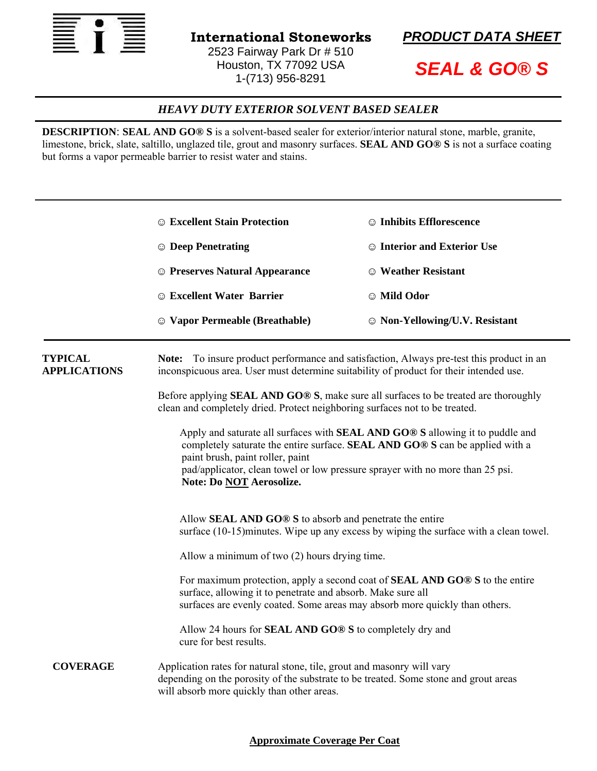



*SEAL & GO® S* 

## *HEAVY DUTY EXTERIOR SOLVENT BASED SEALER*

**DESCRIPTION: SEAL AND GO® S** is a solvent-based sealer for exterior/interior natural stone, marble, granite, limestone, brick, slate, saltillo, unglazed tile, grout and masonry surfaces. **SEAL AND GO® S** is not a surface coating but forms a vapor permeable barrier to resist water and stains.

|                                       | <b>Excellent Stain Protection</b>                                                                                                                                                                                                                                                                                     | <b>C</b> Inhibits Efflorescence           |  |
|---------------------------------------|-----------------------------------------------------------------------------------------------------------------------------------------------------------------------------------------------------------------------------------------------------------------------------------------------------------------------|-------------------------------------------|--|
|                                       | <b>C</b> Deep Penetrating                                                                                                                                                                                                                                                                                             | <b>Solution Interior and Exterior Use</b> |  |
|                                       | <b>Exercise Second Appearance</b>                                                                                                                                                                                                                                                                                     | © Weather Resistant                       |  |
|                                       | <b>Excellent Water Barrier</b>                                                                                                                                                                                                                                                                                        | © Mild Odor                               |  |
|                                       | © Vapor Permeable (Breathable)                                                                                                                                                                                                                                                                                        | © Non-Yellowing/U.V. Resistant            |  |
| <b>TYPICAL</b><br><b>APPLICATIONS</b> | Note: To insure product performance and satisfaction, Always pre-test this product in an<br>inconspicuous area. User must determine suitability of product for their intended use.                                                                                                                                    |                                           |  |
|                                       | Before applying <b>SEAL AND GO® S</b> , make sure all surfaces to be treated are thoroughly<br>clean and completely dried. Protect neighboring surfaces not to be treated.                                                                                                                                            |                                           |  |
|                                       | Apply and saturate all surfaces with <b>SEAL AND GO® S</b> allowing it to puddle and<br>completely saturate the entire surface. SEAL AND GO® S can be applied with a<br>paint brush, paint roller, paint<br>pad/applicator, clean towel or low pressure sprayer with no more than 25 psi.<br>Note: Do NOT Aerosolize. |                                           |  |
|                                       | Allow <b>SEAL AND GO® S</b> to absorb and penetrate the entire<br>surface (10-15) minutes. Wipe up any excess by wiping the surface with a clean towel.                                                                                                                                                               |                                           |  |
|                                       | Allow a minimum of two (2) hours drying time.                                                                                                                                                                                                                                                                         |                                           |  |
|                                       | For maximum protection, apply a second coat of <b>SEAL AND GO® S</b> to the entire<br>surface, allowing it to penetrate and absorb. Make sure all<br>surfaces are evenly coated. Some areas may absorb more quickly than others.                                                                                      |                                           |  |
|                                       | Allow 24 hours for <b>SEAL AND GO® S</b> to completely dry and<br>cure for best results.                                                                                                                                                                                                                              |                                           |  |
| <b>COVERAGE</b>                       | Application rates for natural stone, tile, grout and masonry will vary<br>depending on the porosity of the substrate to be treated. Some stone and grout areas<br>will absorb more quickly than other areas.                                                                                                          |                                           |  |

## **Approximate Coverage Per Coat**